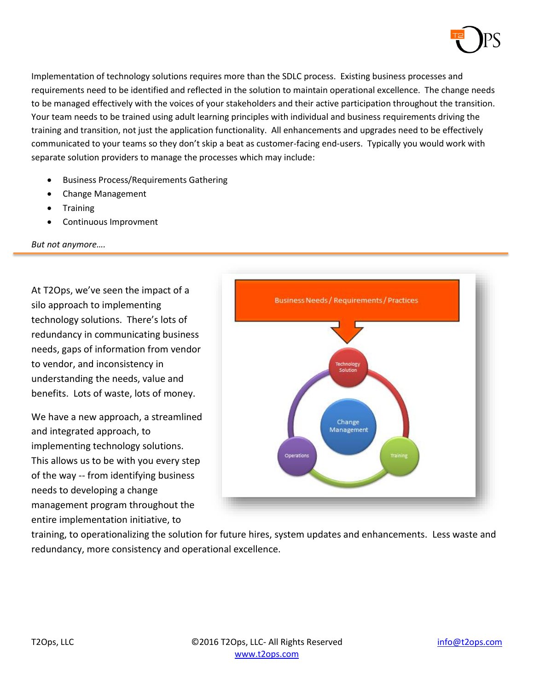

Implementation of technology solutions requires more than the SDLC process. Existing business processes and requirements need to be identified and reflected in the solution to maintain operational excellence. The change needs to be managed effectively with the voices of your stakeholders and their active participation throughout the transition. Your team needs to be trained using adult learning principles with individual and business requirements driving the training and transition, not just the application functionality. All enhancements and upgrades need to be effectively communicated to your teams so they don't skip a beat as customer-facing end-users. Typically you would work with separate solution providers to manage the processes which may include:

- Business Process/Requirements Gathering
- Change Management
- Training
- Continuous Improvment

*But not anymore….*

At T2Ops, we've seen the impact of a silo approach to implementing technology solutions. There's lots of redundancy in communicating business needs, gaps of information from vendor to vendor, and inconsistency in understanding the needs, value and benefits. Lots of waste, lots of money.

We have a new approach, a streamlined and integrated approach, to implementing technology solutions. This allows us to be with you every step of the way -- from identifying business needs to developing a change management program throughout the entire implementation initiative, to



training, to operationalizing the solution for future hires, system updates and enhancements. Less waste and redundancy, more consistency and operational excellence.